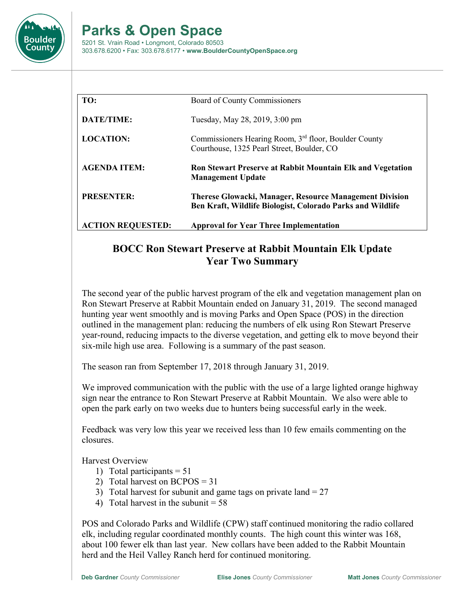

## **Parks & Open Space**

5201 St. Vrain Road • Longmont, Colorado 80503 303.678.6200 • Fax: 303.678.6177 • **www.BoulderCountyOpenSpace.org**

| TO:                      | Board of County Commissioners                                                                                                |
|--------------------------|------------------------------------------------------------------------------------------------------------------------------|
| DATE/TIME:               | Tuesday, May 28, 2019, 3:00 pm                                                                                               |
| <b>LOCATION:</b>         | Commissioners Hearing Room, 3 <sup>rd</sup> floor, Boulder County<br>Courthouse, 1325 Pearl Street, Boulder, CO              |
| <b>AGENDA ITEM:</b>      | <b>Ron Stewart Preserve at Rabbit Mountain Elk and Vegetation</b><br><b>Management Update</b>                                |
| <b>PRESENTER:</b>        | <b>Therese Glowacki, Manager, Resource Management Division</b><br>Ben Kraft, Wildlife Biologist, Colorado Parks and Wildlife |
| <b>ACTION REQUESTED:</b> | <b>Approval for Year Three Implementation</b>                                                                                |

## **BOCC Ron Stewart Preserve at Rabbit Mountain Elk Update Year Two Summary**

The second year of the public harvest program of the elk and vegetation management plan on Ron Stewart Preserve at Rabbit Mountain ended on January 31, 2019. The second managed hunting year went smoothly and is moving Parks and Open Space (POS) in the direction outlined in the management plan: reducing the numbers of elk using Ron Stewart Preserve year-round, reducing impacts to the diverse vegetation, and getting elk to move beyond their six-mile high use area. Following is a summary of the past season.

The season ran from September 17, 2018 through January 31, 2019.

We improved communication with the public with the use of a large lighted orange highway sign near the entrance to Ron Stewart Preserve at Rabbit Mountain. We also were able to open the park early on two weeks due to hunters being successful early in the week.

Feedback was very low this year we received less than 10 few emails commenting on the closures.

Harvest Overview

- 1) Total participants  $= 51$
- 2) Total harvest on BCPOS = 31
- 3) Total harvest for subunit and game tags on private land  $= 27$
- 4) Total harvest in the subunit  $= 58$

POS and Colorado Parks and Wildlife (CPW) staff continued monitoring the radio collared elk, including regular coordinated monthly counts. The high count this winter was 168, about 100 fewer elk than last year. New collars have been added to the Rabbit Mountain herd and the Heil Valley Ranch herd for continued monitoring.